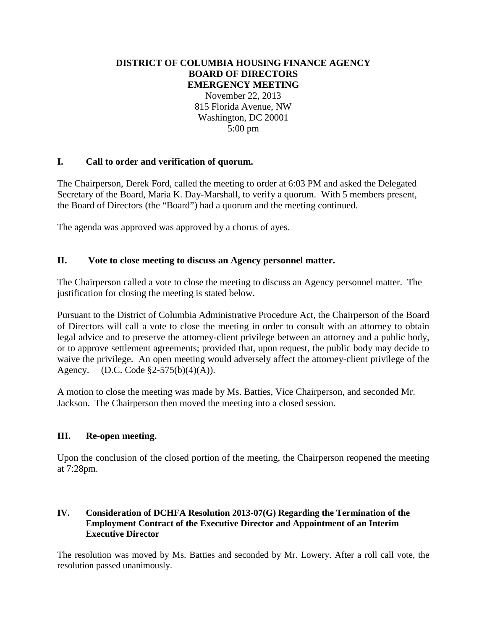### **DISTRICT OF COLUMBIA HOUSING FINANCE AGENCY BOARD OF DIRECTORS EMERGENCY MEETING**

November 22, 2013 815 Florida Avenue, NW Washington, DC 20001 5:00 pm

# **I. Call to order and verification of quorum.**

The Chairperson, Derek Ford, called the meeting to order at 6:03 PM and asked the Delegated Secretary of the Board, Maria K. Day-Marshall, to verify a quorum. With 5 members present, the Board of Directors (the "Board") had a quorum and the meeting continued.

The agenda was approved was approved by a chorus of ayes.

# **II. Vote to close meeting to discuss an Agency personnel matter.**

The Chairperson called a vote to close the meeting to discuss an Agency personnel matter. The justification for closing the meeting is stated below.

Pursuant to the District of Columbia Administrative Procedure Act, the Chairperson of the Board of Directors will call a vote to close the meeting in order to consult with an attorney to obtain legal advice and to preserve the attorney-client privilege between an attorney and a public body, or to approve settlement agreements; provided that, upon request, the public body may decide to waive the privilege. An open meeting would adversely affect the attorney-client privilege of the Agency. (D.C. Code §2-575(b)(4)(A)).

A motion to close the meeting was made by Ms. Batties, Vice Chairperson, and seconded Mr. Jackson. The Chairperson then moved the meeting into a closed session.

### **III. Re-open meeting.**

Upon the conclusion of the closed portion of the meeting, the Chairperson reopened the meeting at 7:28pm.

### **IV. Consideration of DCHFA Resolution 2013-07(G) Regarding the Termination of the Employment Contract of the Executive Director and Appointment of an Interim Executive Director**

The resolution was moved by Ms. Batties and seconded by Mr. Lowery. After a roll call vote, the resolution passed unanimously.